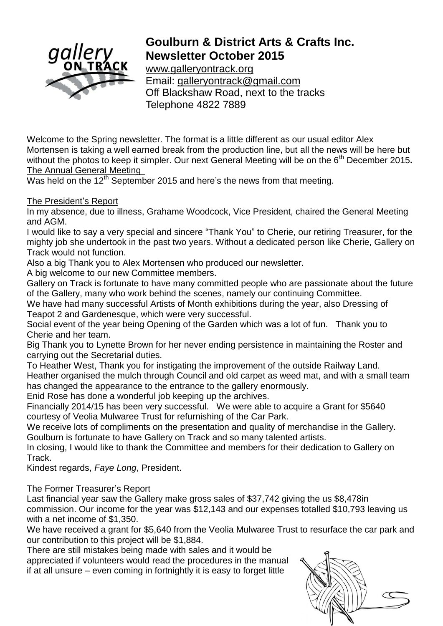

# **Goulburn & District Arts & Crafts Inc. Newsletter October 2015**

[www.galleryontrack.org](http://www.galleryontrack.org/) Email: [galleryontrack@gmail.com](mailto:galleryontrack@gmail.com) Off Blackshaw Road, next to the tracks Telephone 4822 7889

Welcome to the Spring newsletter. The format is a little different as our usual editor Alex Mortensen is taking a well earned break from the production line, but all the news will be here but without the photos to keep it simpler. Our next General Meeting will be on the 6<sup>th</sup> December 2015. The Annual General Meeting

Was held on the  $12<sup>th</sup>$  September 2015 and here's the news from that meeting.

The President"s Report

In my absence, due to illness, Grahame Woodcock, Vice President, chaired the General Meeting and AGM.

I would like to say a very special and sincere "Thank You" to Cherie, our retiring Treasurer, for the mighty job she undertook in the past two years. Without a dedicated person like Cherie, Gallery on Track would not function.

Also a big Thank you to Alex Mortensen who produced our newsletter.

A big welcome to our new Committee members.

Gallery on Track is fortunate to have many committed people who are passionate about the future of the Gallery, many who work behind the scenes, namely our continuing Committee.

We have had many successful Artists of Month exhibitions during the year, also Dressing of Teapot 2 and Gardenesque, which were very successful.

Social event of the year being Opening of the Garden which was a lot of fun. Thank you to Cherie and her team.

Big Thank you to Lynette Brown for her never ending persistence in maintaining the Roster and carrying out the Secretarial duties.

To Heather West, Thank you for instigating the improvement of the outside Railway Land. Heather organised the mulch through Council and old carpet as weed mat, and with a small team has changed the appearance to the entrance to the gallery enormously.

Enid Rose has done a wonderful job keeping up the archives.

Financially 2014/15 has been very successful. We were able to acquire a Grant for \$5640 courtesy of Veolia Mulwaree Trust for refurnishing of the Car Park.

We receive lots of compliments on the presentation and quality of merchandise in the Gallery. Goulburn is fortunate to have Gallery on Track and so many talented artists.

In closing, I would like to thank the Committee and members for their dedication to Gallery on Track.

Kindest regards, *Faye Long*, President.

# The Former Treasurer"s Report

Last financial year saw the Gallery make gross sales of \$37,742 giving the us \$8,478in commission. Our income for the year was \$12,143 and our expenses totalled \$10,793 leaving us with a net income of \$1,350.

We have received a grant for \$5,640 from the Veolia Mulwaree Trust to resurface the car park and our contribution to this project will be \$1,884.

There are still mistakes being made with sales and it would be appreciated if volunteers would read the procedures in the manual

if at all unsure – even coming in fortnightly it is easy to forget little

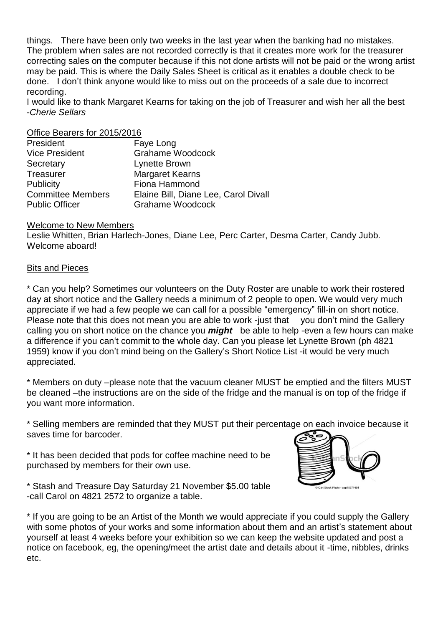things. There have been only two weeks in the last year when the banking had no mistakes. The problem when sales are not recorded correctly is that it creates more work for the treasurer correcting sales on the computer because if this not done artists will not be paid or the wrong artist may be paid. This is where the Daily Sales Sheet is critical as it enables a double check to be done. I don"t think anyone would like to miss out on the proceeds of a sale due to incorrect recording.

I would like to thank Margaret Kearns for taking on the job of Treasurer and wish her all the best -*Cherie Sellars*

#### Office Bearers for 2015/2016

| Faye Long                            |
|--------------------------------------|
| <b>Grahame Woodcock</b>              |
| Lynette Brown                        |
| <b>Margaret Kearns</b>               |
| Fiona Hammond                        |
| Elaine Bill, Diane Lee, Carol Divall |
| <b>Grahame Woodcock</b>              |
|                                      |

#### Welcome to New Members

Leslie Whitten, Brian Harlech-Jones, Diane Lee, Perc Carter, Desma Carter, Candy Jubb. Welcome aboard!

#### Bits and Pieces

\* Can you help? Sometimes our volunteers on the Duty Roster are unable to work their rostered day at short notice and the Gallery needs a minimum of 2 people to open. We would very much appreciate if we had a few people we can call for a possible "emergency" fill-in on short notice. Please note that this does not mean you are able to work -just that you don't mind the Gallery calling you on short notice on the chance you *might* be able to help -even a few hours can make a difference if you can"t commit to the whole day. Can you please let Lynette Brown (ph 4821 1959) know if you don"t mind being on the Gallery"s Short Notice List -it would be very much appreciated.

\* Members on duty –please note that the vacuum cleaner MUST be emptied and the filters MUST be cleaned –the instructions are on the side of the fridge and the manual is on top of the fridge if you want more information.

\* Selling members are reminded that they MUST put their percentage on each invoice because it saves time for barcoder.

\* It has been decided that pods for coffee machine need to be purchased by members for their own use.



\* If you are going to be an Artist of the Month we would appreciate if you could supply the Gallery with some photos of your works and some information about them and an artist's statement about yourself at least 4 weeks before your exhibition so we can keep the website updated and post a notice on facebook, eg, the opening/meet the artist date and details about it -time, nibbles, drinks etc.